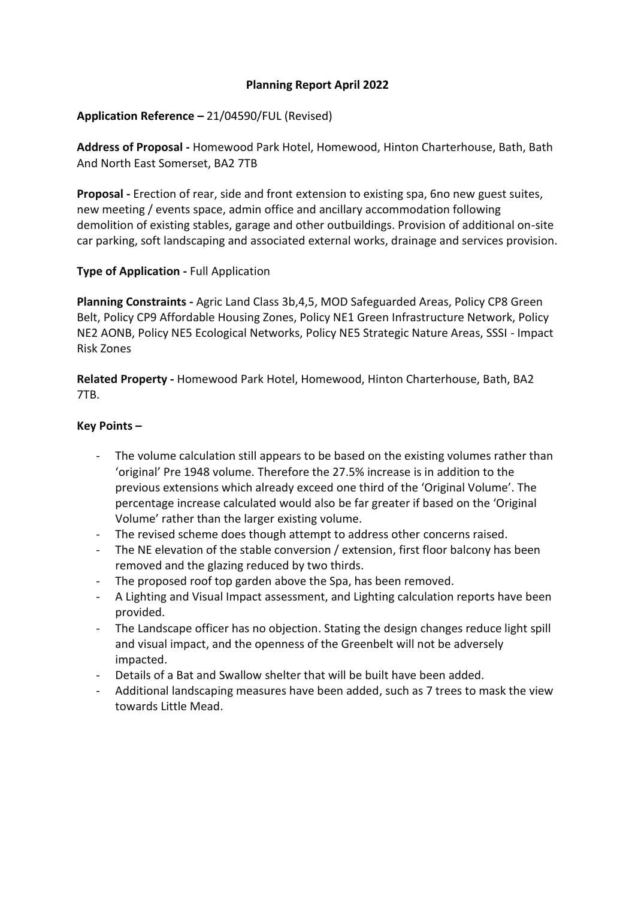# **Planning Report April 2022**

## **Application Reference –** 21/04590/FUL (Revised)

**Address of Proposal -** Homewood Park Hotel, Homewood, Hinton Charterhouse, Bath, Bath And North East Somerset, BA2 7TB

**Proposal -** Erection of rear, side and front extension to existing spa, 6no new guest suites, new meeting / events space, admin office and ancillary accommodation following demolition of existing stables, garage and other outbuildings. Provision of additional on-site car parking, soft landscaping and associated external works, drainage and services provision.

## **Type of Application -** Full Application

**Planning Constraints -** Agric Land Class 3b,4,5, MOD Safeguarded Areas, Policy CP8 Green Belt, Policy CP9 Affordable Housing Zones, Policy NE1 Green Infrastructure Network, Policy NE2 AONB, Policy NE5 Ecological Networks, Policy NE5 Strategic Nature Areas, SSSI - Impact Risk Zones

**Related Property -** Homewood Park Hotel, Homewood, Hinton Charterhouse, Bath, BA2 7TB.

## **Key Points –**

- The volume calculation still appears to be based on the existing volumes rather than 'original' Pre 1948 volume. Therefore the 27.5% increase is in addition to the previous extensions which already exceed one third of the 'Original Volume'. The percentage increase calculated would also be far greater if based on the 'Original Volume' rather than the larger existing volume.
- The revised scheme does though attempt to address other concerns raised.
- The NE elevation of the stable conversion / extension, first floor balcony has been removed and the glazing reduced by two thirds.
- The proposed roof top garden above the Spa, has been removed.
- A Lighting and Visual Impact assessment, and Lighting calculation reports have been provided.
- The Landscape officer has no objection. Stating the design changes reduce light spill and visual impact, and the openness of the Greenbelt will not be adversely impacted.
- Details of a Bat and Swallow shelter that will be built have been added.
- Additional landscaping measures have been added, such as 7 trees to mask the view towards Little Mead.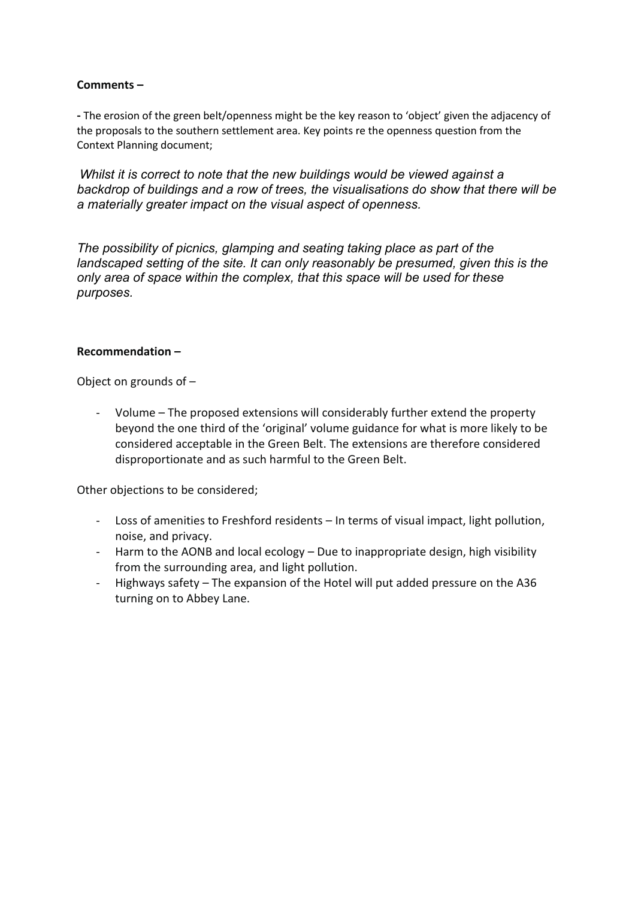# **Comments –**

**-** The erosion of the green belt/openness might be the key reason to 'object' given the adjacency of the proposals to the southern settlement area. Key points re the openness question from the Context Planning document;

*Whilst it is correct to note that the new buildings would be viewed against a backdrop of buildings and a row of trees, the visualisations do show that there will be a materially greater impact on the visual aspect of openness.*

*The possibility of picnics, glamping and seating taking place as part of the landscaped setting of the site. It can only reasonably be presumed, given this is the only area of space within the complex, that this space will be used for these purposes.*

#### **Recommendation –**

Object on grounds of –

- Volume – The proposed extensions will considerably further extend the property beyond the one third of the 'original' volume guidance for what is more likely to be considered acceptable in the Green Belt. The extensions are therefore considered disproportionate and as such harmful to the Green Belt.

Other objections to be considered;

- Loss of amenities to Freshford residents In terms of visual impact, light pollution, noise, and privacy.
- Harm to the AONB and local ecology Due to inappropriate design, high visibility from the surrounding area, and light pollution.
- Highways safety The expansion of the Hotel will put added pressure on the A36 turning on to Abbey Lane.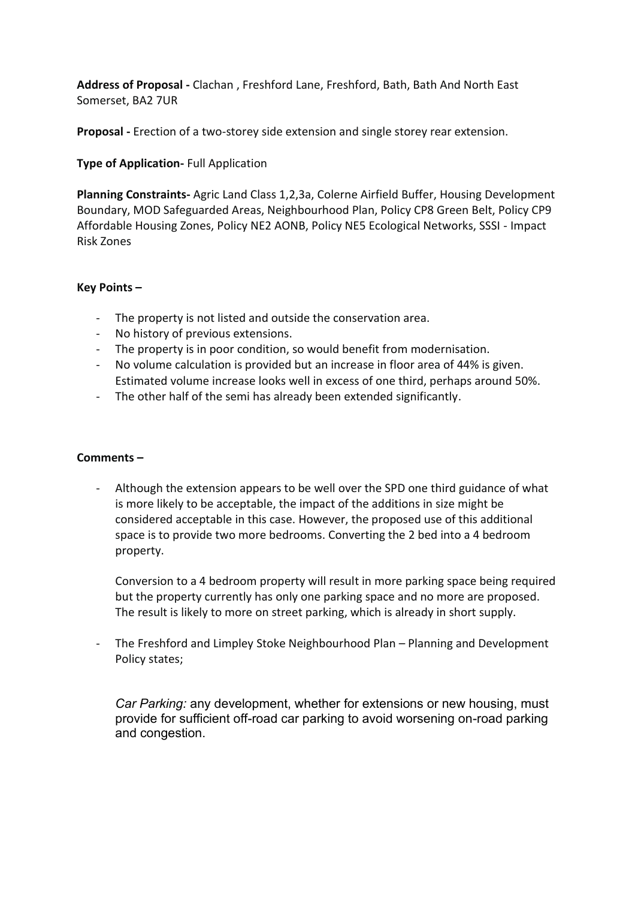**Address of Proposal -** Clachan , Freshford Lane, Freshford, Bath, Bath And North East Somerset, BA2 7UR

**Proposal -** Erection of a two-storey side extension and single storey rear extension.

# **Type of Application-** Full Application

**Planning Constraints-** Agric Land Class 1,2,3a, Colerne Airfield Buffer, Housing Development Boundary, MOD Safeguarded Areas, Neighbourhood Plan, Policy CP8 Green Belt, Policy CP9 Affordable Housing Zones, Policy NE2 AONB, Policy NE5 Ecological Networks, SSSI - Impact Risk Zones

## **Key Points –**

- The property is not listed and outside the conservation area.
- No history of previous extensions.
- The property is in poor condition, so would benefit from modernisation.
- No volume calculation is provided but an increase in floor area of 44% is given. Estimated volume increase looks well in excess of one third, perhaps around 50%.
- The other half of the semi has already been extended significantly.

#### **Comments –**

- Although the extension appears to be well over the SPD one third guidance of what is more likely to be acceptable, the impact of the additions in size might be considered acceptable in this case. However, the proposed use of this additional space is to provide two more bedrooms. Converting the 2 bed into a 4 bedroom property.

Conversion to a 4 bedroom property will result in more parking space being required but the property currently has only one parking space and no more are proposed. The result is likely to more on street parking, which is already in short supply.

- The Freshford and Limpley Stoke Neighbourhood Plan – Planning and Development Policy states;

*Car Parking:* any development, whether for extensions or new housing, must provide for sufficient off-road car parking to avoid worsening on-road parking and congestion.